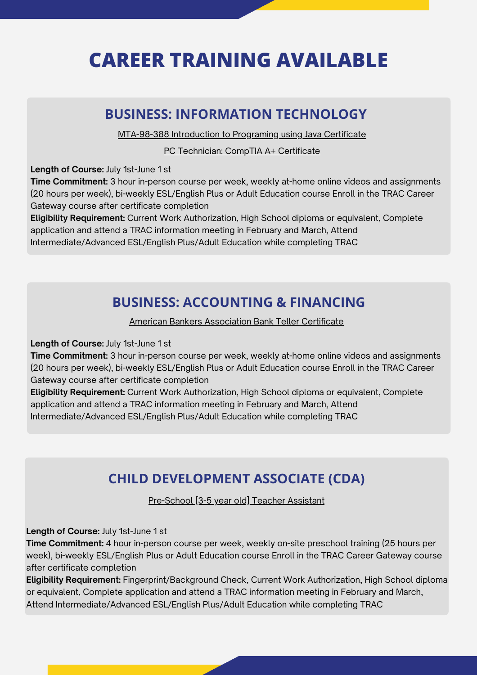# **CAREER TRAINING AVAILABLE**

[MTA-98-388](https://certiport.pearsonvue.com/Certifications/Microsoft/MTA/Certify/MTA-98-388-Introduction-to-Programming-Using-Java) Introduction to Programing using Java Certificate

#### **BUSINESS: INFORMATION TECHNOLOGY**

American Bankers [Association](https://www.aba.com/training-events/online-training/bank-teller-certificate) Bank Teller Certificate

#### **BUSINESS: ACCOUNTING & FINANCING**

### **CHILD DEVELOPMENT ASSOCIATE (CDA)**

[Pre-School](https://drive.google.com/file/d/19q3aLCkeIAcLIYKtnMr2T9y5byqCi1hq/view) [3-5 year old] Teacher Assistant

PC [Technician:](https://drive.google.com/file/d/12T31FZMb-Z0v1_MOuj8zACPhNhu4xWFV/view) CompTIA A+ Certificate

**Length of Course:** July 1st-June 1 st

**Time Commitment:** 3 hour in-person course per week, weekly at-home online videos and assignments (20 hours per week), bi-weekly ESL/English Plus or Adult Education course Enroll in the TRAC Career Gateway course after certificate completion

**Eligibility Requirement:** Current Work Authorization, High School diploma or equivalent, Complete application and attend a TRAC information meeting in February and March, Attend Intermediate/Advanced ESL/English Plus/Adult Education while completing TRAC

**Length of Course:** July 1st-June 1 st

**Time Commitment:** 3 hour in-person course per week, weekly at-home online videos and assignments (20 hours per week), bi-weekly ESL/English Plus or Adult Education course Enroll in the TRAC Career Gateway course after certificate completion

**Eligibility Requirement:** Current Work Authorization, High School diploma or equivalent, Complete application and attend a TRAC information meeting in February and March, Attend Intermediate/Advanced ESL/English Plus/Adult Education while completing TRAC

**Length of Course:** July 1st-June 1 st

**Time Commitment:** 4 hour in-person course per week, weekly on-site preschool training (25 hours per week), bi-weekly ESL/English Plus or Adult Education course Enroll in the TRAC Career Gateway course after certificate completion

**Eligibility Requirement:** Fingerprint/Background Check, Current Work Authorization, High School diploma or equivalent, Complete application and attend a TRAC information meeting in February and March,

#### Attend Intermediate/Advanced ESL/English Plus/Adult Education while completing TRAC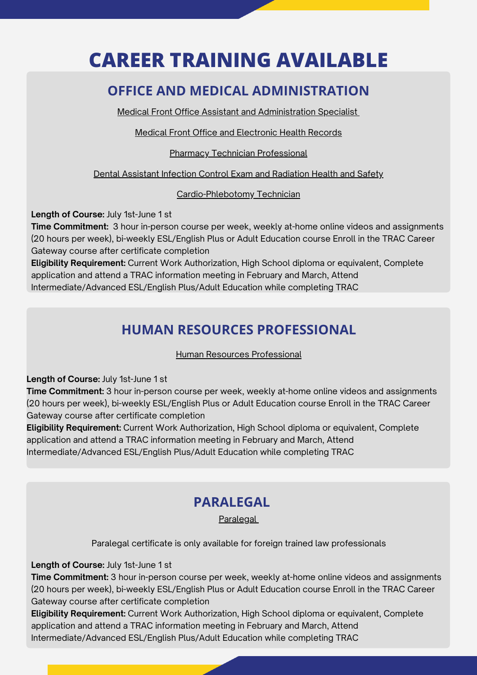# **CAREER TRAINING AVAILABLE**

Medical Front Office Assistant and [Administration](https://drive.google.com/file/d/1HWB57PkjST87wyK-L--668EEFB5hzF-y/view) Specialis[t](https://drive.google.com/file/d/1HWB57PkjST87wyK-L--668EEFB5hzF-y/view)

Medical Front Office and [Electronic](https://drive.google.com/file/d/1YzSO46Ng8uHie6898cn1k5uw86e8ga6A/view) Health Records

**Pharmacy Technician [Professional](https://drive.google.com/file/d/1WaxRahVF3p8v4H7Kve2s2N-VVhr3KgQK/view)** 

Dental Assistant Infection Control Exam and [Radiation](https://drive.google.com/file/d/1YyGFp4-JKSbbKpvokagRFFlzZ-n35cq6/view) Health and Safety

[Cardio-Phlebotomy](https://drive.google.com/file/d/1oibaDy-P9-3TI7lNJQpOjFP10nloiXlf/view) Technician

### **OFFICE AND MEDICAL ADMINISTRATION**

### **HUMAN RESOURCES PROFESSIONAL**

Human Resources [Professional](https://www.ed2go.com/courses/business/operations/ctp/human-resources-professional-course-online)

**Length of Course:** July 1st-June 1 st

**Time Commitment:** 3 hour in-person course per week, weekly at-home online videos and assignments (20 hours per week), bi-weekly ESL/English Plus or Adult Education course Enroll in the TRAC Career Gateway course after certificate completion **Eligibility Requirement:** Current Work Authorization, High School diploma or equivalent, Complete application and attend a TRAC information meeting in February and March, Attend Intermediate/Advanced ESL/English Plus/Adult Education while completing TRAC

**Length of Course:** July 1st-June 1 st

**Time Commitment:** 3 hour in-person course per week, weekly at-home online videos and assignments (20 hours per week), bi-weekly ESL/English Plus or Adult Education course Enroll in the TRAC Career Gateway course after certificate completion

**Eligibility Requirement:** Current Work Authorization, High School diploma or equivalent, Complete application and attend a TRAC information meeting in February and March, Attend Intermediate/Advanced ESL/English Plus/Adult Education while completing TRAC

## **PARALEGAL**

**[Paralegal](https://www.ed2go.com/courses/legal/legal-studies/ctp/certified-paralegal-voucher-included)** 

Paralegal certificate is only available for foreign trained law professionals

**Length of Course:** July 1st-June 1 st

**Time Commitment:** 3 hour in-person course per week, weekly at-home online videos and assignments (20 hours per week), bi-weekly ESL/English Plus or Adult Education course Enroll in the TRAC Career

#### Gateway course after certificate completion

**Eligibility Requirement:** Current Work Authorization, High School diploma or equivalent, Complete

application and attend a TRAC information meeting in February and March, Attend

Intermediate/Advanced ESL/English Plus/Adult Education while completing TRAC